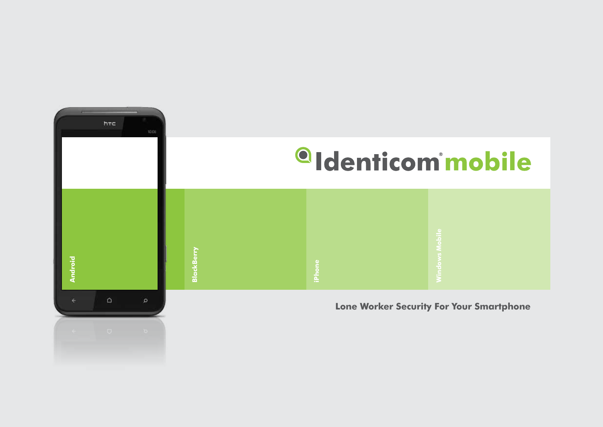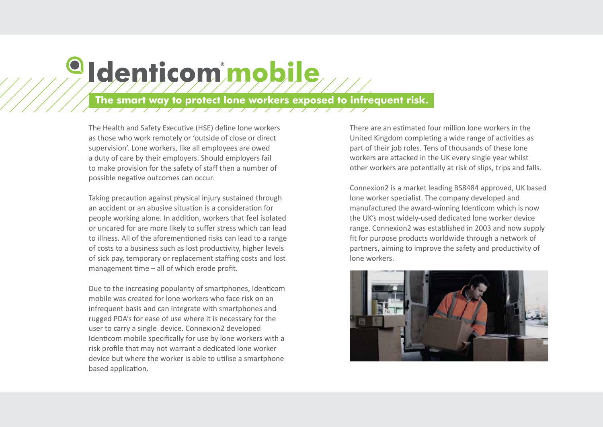# **The smart way to protect lone workers exposed to infrequent risk.**

The Health and Safety Executive (HSE) define lone workers as those who work remotely or 'outside of close or direct supervision'. Lone workers, like all employees are owed a duty of care by their employers. Should employers fail to make provision for the safety of staff then a number of possible negative outcomes can occur.

<sup>o</sup>Identicom mobile

Taking precaution against physical injury sustained through an accident or an abusive situation is a consideration for people working alone. In addition, workers that feel isolated or uncared for are more likely to suffer stress which can lead to illness. All of the aforementioned risks can lead to a range of costs to a business such as lost productivity, higher levels of sick pay, temporary or replacement staffing costs and lost management time – all of which erode profit.

Due to the increasing popularity of smartphones, Identicom mobile was created for lone workers who face risk on an infrequent basis and can integrate with smartphones and rugged PDA's for ease of use where it is necessary for the user to carry a single device. Connexion2 developed Identicom mobile specifically for use by lone workers with a risk profile that may not warrant a dedicated lone worker device but where the worker is able to utilise a smartphone based application.

There are an estimated four million lone workers in the United Kingdom completing a wide range of activities as part of their job roles. Tens of thousands of these lone workers are attacked in the UK every single year whilst other workers are potentially at risk of slips, trips and falls.

Connexion2 is a market leading BS8484 approved, UK based lone worker specialist. The company developed and manufactured the award-winning Identicom which is now the UK's most widely-used dedicated lone worker device range. Connexion2 was established in 2003 and now supply fit for purpose products worldwide through a network of partners, aiming to improve the safety and productivity of lone workers.

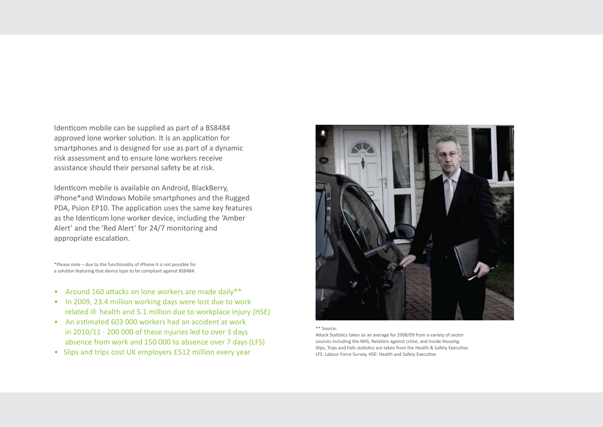Identicom mobile can be supplied as part of a BS8484 approved lone worker solution. It is an application for smartphones and is designed for use as part of a dynamic risk assessment and to ensure lone workers receive assistance should their personal safety be at risk.

Identicom mobile is available on Android, BlackBerry, iPhone\*and Windows Mobile smartphones and the Rugged PDA, Psion EP10. The application uses the same key features as the Identicom lone worker device, including the 'Amber Alert' and the 'Red Alert' for 24/7 monitoring and appropriate escalation.

\*Please note – due to the functionality of iPhone it is not possible for a solution featuring that device type to be compliant against BS8484.

- Around 160 attacks on lone workers are made daily\*\*
- In 2009, 23.4 million working days were lost due to work related ill health and 5.1 million due to workplace injury (HSE)
- An estimated 603 000 workers had an accident at work in 2010/11 - 200 000 of these injuries led to over 3 days absence from work and 150 000 to absence over 7 days (LFS)
- Slips and trips cost UK employers £512 million every year



#### \*\* Source:

Attack Statistics taken as an average for 2008/09 from a variety of sector sources including the NHS, Retailers against crime, and Inside Housing. Slips, Trips and Falls statistics are taken from the Health & Safety Executive. LFS: Labour Force Survey, HSE: Health and Safety Executive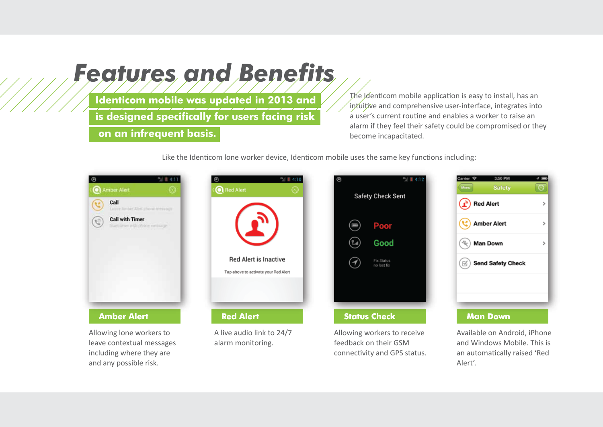# *Features and Benefits*

**Identicom mobile was updated in 2013 and is designed specifically for users facing risk**

 **on an infrequent basis.** 

The Identicom mobile application is easy to install, has an intuitive and comprehensive user-interface, integrates into a user's current routine and enables a worker to raise an alarm if they feel their safety could be compromised or they become incapacitated.

Like the Identicom lone worker device, Identicom mobile uses the same key functions including:

| Amber Alert                                             |  |
|---------------------------------------------------------|--|
| Call<br>Leirre Amber Alint (Honic missiog)              |  |
| <b>Call with Timer</b><br>Start Greenwill phone metalog |  |
|                                                         |  |
|                                                         |  |
|                                                         |  |
|                                                         |  |
|                                                         |  |
| <b>Amber Alert</b>                                      |  |

Allowing lone workers to leave contextual messages including where they are and any possible risk.



A live audio link to 24/7 alarm monitoring.



Allowing workers to receive feedback on their GSM connectivity and GPS status.



Available on Android, iPhone and Windows Mobile. This is an automatically raised 'Red Alert'.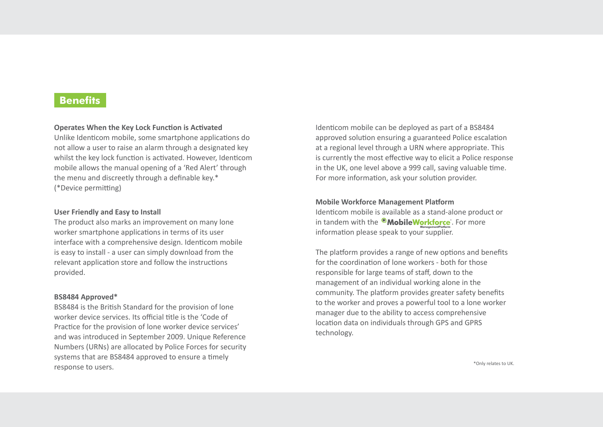## **Benefits**

#### **Operates When the Key Lock Function is Activated**

Unlike Identicom mobile, some smartphone applications do not allow a user to raise an alarm through a designated key whilst the key lock function is activated. However, Identicom mobile allows the manual opening of a 'Red Alert' through the menu and discreetly through a definable key.\* (\*Device permitting)

#### **User Friendly and Easy to Install**

The product also marks an improvement on many lone worker smartphone applications in terms of its user interface with a comprehensive design. Identicom mobile is easy to install - a user can simply download from the relevant application store and follow the instructions provided.

#### **BS8484 Approved\***

BS8484 is the British Standard for the provision of lone worker device services. Its official title is the 'Code of Practice for the provision of lone worker device services' and was introduced in September 2009. Unique Reference Numbers (URNs) are allocated by Police Forces for security systems that are BS8484 approved to ensure a timely response to users.

Identicom mobile can be deployed as part of a BS8484 approved solution ensuring a guaranteed Police escalation at a regional level through a URN where appropriate. This is currently the most effective way to elicit a Police response in the UK, one level above a 999 call, saving valuable time. For more information, ask your solution provider.

#### **Mobile Workforce Management Platform**

Identicom mobile is available as a stand-alone product or in tandem with the  $^{\circledR}$ MobileWorkforce. For more information please speak to your supplier.

The platform provides a range of new options and benefits for the coordination of lone workers - both for those responsible for large teams of staff, down to the management of an individual working alone in the community. The platform provides greater safety benefits to the worker and proves a powerful tool to a lone worker manager due to the ability to access comprehensive location data on individuals through GPS and GPRS technology.

\*Only relates to UK.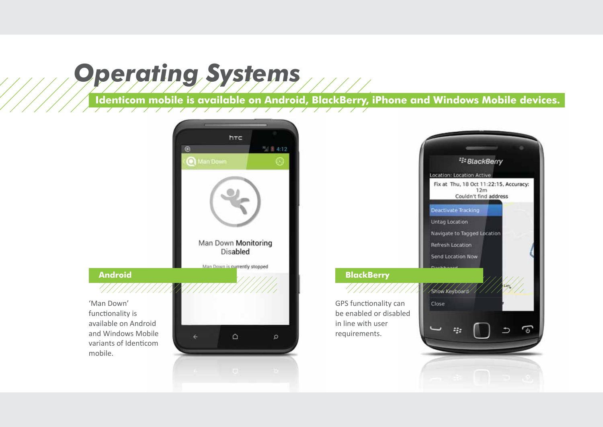# *Operating Systems*

**Identicom mobile is available on Android, BlackBerry, iPhone and Windows Mobile devices.** 

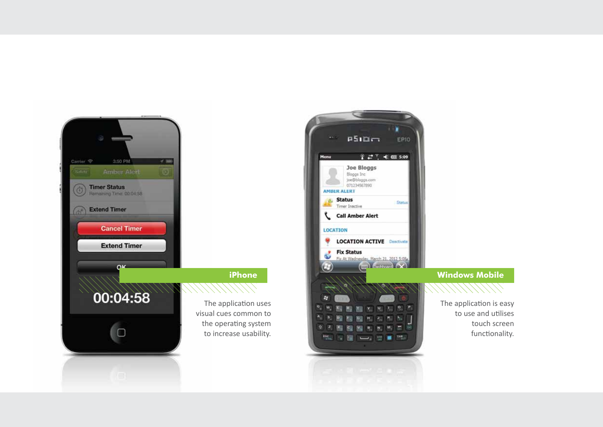

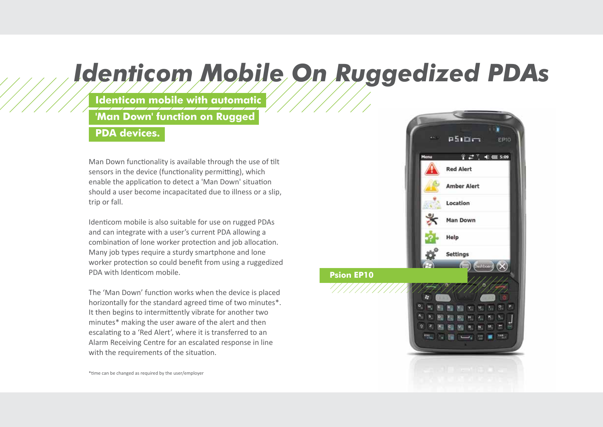# *Identicom Mobile On Ruggedized PDAs*

**Identicom mobile with automatic** 

**'Man Down' function on Rugged** 

## **PDA devices.**

Man Down functionality is available through the use of tilt sensors in the device (functionality permitting), which enable the application to detect a 'Man Down' situation should a user become incapacitated due to illness or a slip, trip or fall.

Identicom mobile is also suitable for use on rugged PDAs and can integrate with a user's current PDA allowing a combination of lone worker protection and job allocation. Many job types require a sturdy smartphone and lone worker protection so could benefit from using a ruggedized PDA with Identicom mobile.

The 'Man Down' function works when the device is placed horizontally for the standard agreed time of two minutes\*. It then begins to intermittently vibrate for another two minutes\* making the user aware of the alert and then escalating to a 'Red Alert', where it is transferred to an Alarm Receiving Centre for an escalated response in line with the requirements of the situation.



\*time can be changed as required by the user/employer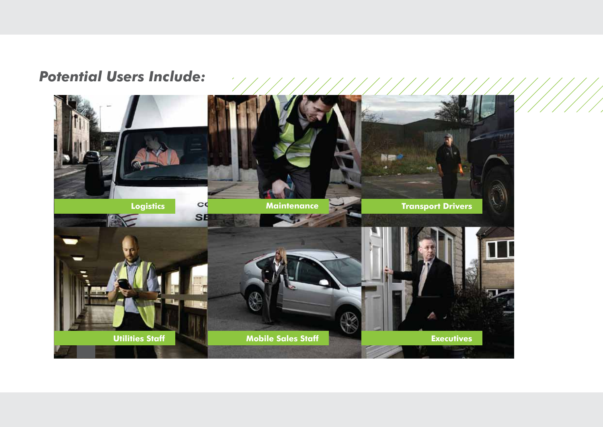## *Potential Users Include:*

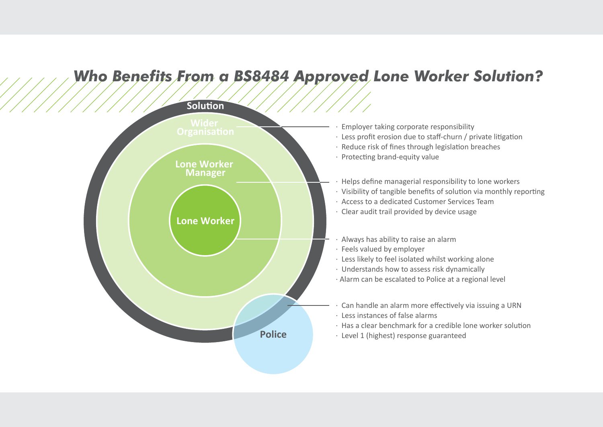# *Who Benefits From a BS8484 Approved Lone Worker Solution?*

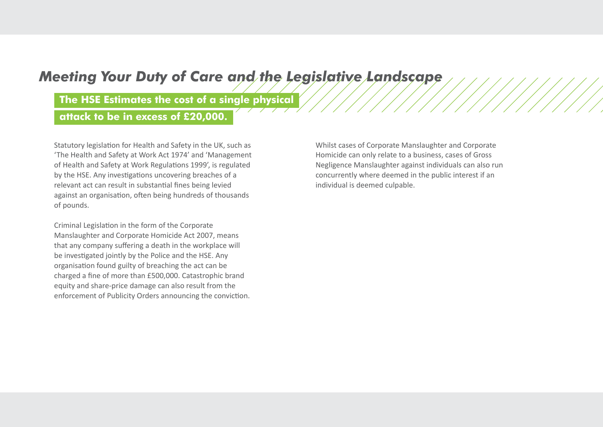## *Meeting Your Duty of Care and the Legislative Landscape*

**The HSE Estimates the cost of a single physical** 

**attack to be in excess of £20,000.**

Statutory legislation for Health and Safety in the UK, such as 'The Health and Safety at Work Act 1974' and 'Management of Health and Safety at Work Regulations 1999', is regulated by the HSE. Any investigations uncovering breaches of a relevant act can result in substantial fines being levied against an organisation, often being hundreds of thousands of pounds.

Criminal Legislation in the form of the Corporate Manslaughter and Corporate Homicide Act 2007, means that any company suffering a death in the workplace will be investigated jointly by the Police and the HSE. Any organisation found guilty of breaching the act can be charged a fine of more than £500,000. Catastrophic brand equity and share-price damage can also result from the enforcement of Publicity Orders announcing the conviction. Whilst cases of Corporate Manslaughter and Corporate Homicide can only relate to a business, cases of Gross Negligence Manslaughter against individuals can also run concurrently where deemed in the public interest if an individual is deemed culpable.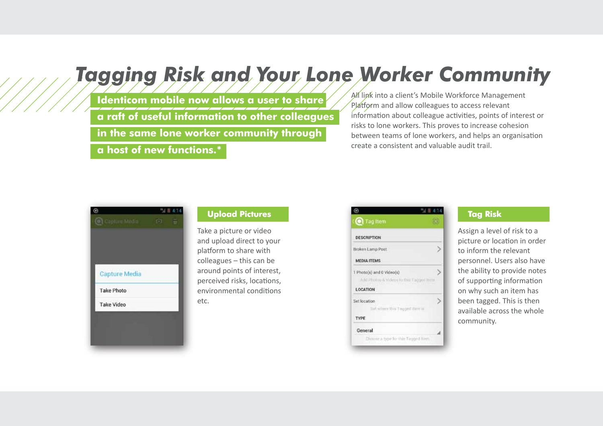# *Tagging Risk and Your Lone Worker Community*

**Identicom mobile now allows a user to share a raft of useful information to other colleagues** 

**in the same lone worker community through** 

**a host of new functions.\*** 

All link into a client's Mobile Workforce Management Platform and allow colleagues to access relevant information about colleague activities, points of interest or risks to lone workers. This proves to increase cohesion between teams of lone workers, and helps an organisation create a consistent and valuable audit trail.



### **Upload Pictures**

Take a picture or video and upload direct to your platform to share with colleagues – this can be around points of interest, perceived risks, locations, environmental conditions etc.

| <b>O</b> Tag Item                                    |   |
|------------------------------------------------------|---|
| <b>DESCRIPTION</b>                                   |   |
| Broken Lamp Post                                     |   |
| <b>MEDIA ITEMS</b>                                   |   |
| 1 Photo(s) and 0 Video(s)                            |   |
| Add Photog & Videos to this Tagged Iteru<br>LOCATION |   |
| Set location                                         | 7 |
| Set where this Tapped Herr is                        |   |
| TYPE                                                 |   |
| General                                              |   |
| Choose a type for this Tagged firm.                  |   |

### **Tag Risk**

Assign a level of risk to a picture or location in order to inform the relevant personnel. Users also have the ability to provide notes of supporting information on why such an item has been tagged. This is then available across the whole community.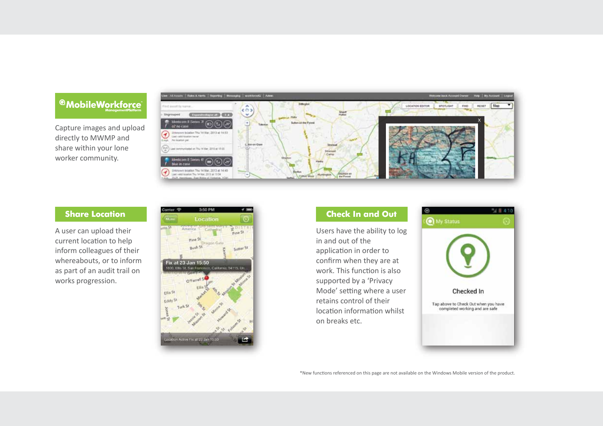## <sup>@</sup>MobileWorkforce

Capture images and upload directly to MWMP and share within your lone worker community.



### **Share Location**

A user can upload their current location to help inform colleagues of their whereabouts, or to inform as part of an audit trail on works progression.





Users have the ability to log in and out of the application in order to confirm when they are at work. This function is also supported by a 'Privacy Mode' setting where a user retains control of their location information whilst on breaks etc.



\*New functions referenced on this page are not available on the Windows Mobile version of the product.